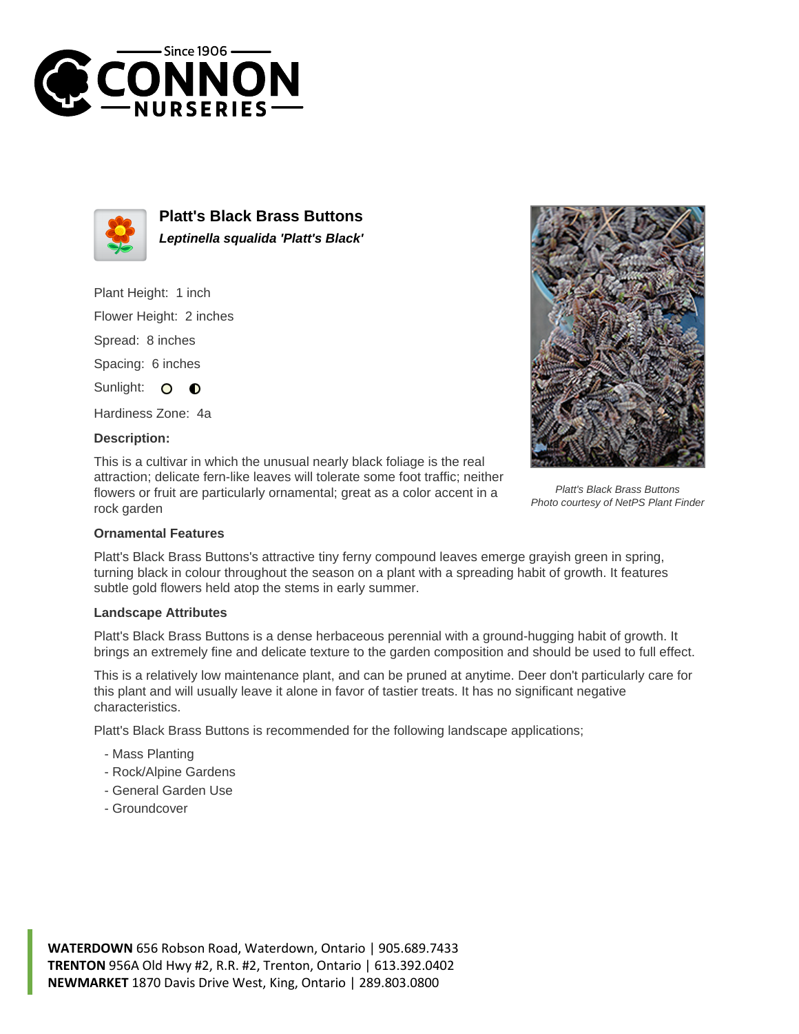



**Platt's Black Brass Buttons Leptinella squalida 'Platt's Black'**

Plant Height: 1 inch

Flower Height: 2 inches

Spread: 8 inches

Spacing: 6 inches

Sunlight: O  $\bullet$ 

Hardiness Zone: 4a

## **Description:**

This is a cultivar in which the unusual nearly black foliage is the real attraction; delicate fern-like leaves will tolerate some foot traffic; neither flowers or fruit are particularly ornamental; great as a color accent in a rock garden



Platt's Black Brass Buttons Photo courtesy of NetPS Plant Finder

## **Ornamental Features**

Platt's Black Brass Buttons's attractive tiny ferny compound leaves emerge grayish green in spring, turning black in colour throughout the season on a plant with a spreading habit of growth. It features subtle gold flowers held atop the stems in early summer.

## **Landscape Attributes**

Platt's Black Brass Buttons is a dense herbaceous perennial with a ground-hugging habit of growth. It brings an extremely fine and delicate texture to the garden composition and should be used to full effect.

This is a relatively low maintenance plant, and can be pruned at anytime. Deer don't particularly care for this plant and will usually leave it alone in favor of tastier treats. It has no significant negative characteristics.

Platt's Black Brass Buttons is recommended for the following landscape applications;

- Mass Planting
- Rock/Alpine Gardens
- General Garden Use
- Groundcover

**WATERDOWN** 656 Robson Road, Waterdown, Ontario | 905.689.7433 **TRENTON** 956A Old Hwy #2, R.R. #2, Trenton, Ontario | 613.392.0402 **NEWMARKET** 1870 Davis Drive West, King, Ontario | 289.803.0800